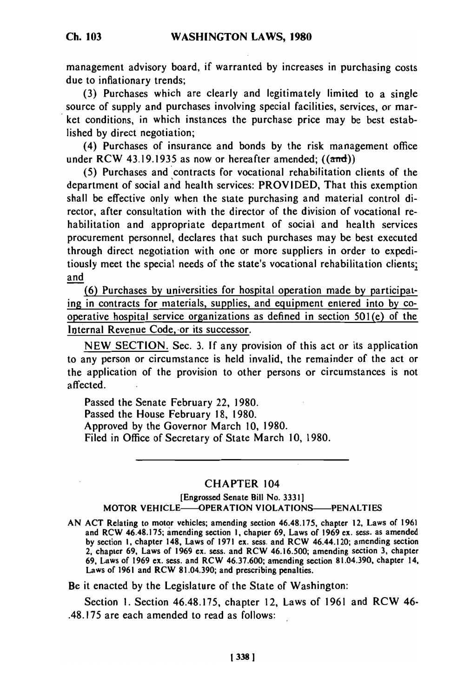management advisory board, if warranted by increases in purchasing costs due to inflationary trends;

(3) Purchases which are clearly and legitimately limited to a single source of supply and purchases involving special facilities, services, or market conditions, in which instances the purchase price may be best established by direct negotiation;

(4) Purchases of insurance and bonds by the risk management office under RCW 43.19.1935 as now or hereafter amended;  $((\text{and}))$ 

(5) Purchases and contracts for vocational rehabilitation clients of the department of social and health services: PROVIDED, That this exemption shall be effective only when the state purchasing and material control director, after consultation with the director of the division of vocational rehabilitation and appropriate department of social and health services procurement personnel, declares that such purchases may be best executed through direct negotiation with one or more suppliers in order to expeditiously meet the special needs of the state's vocational rehabilitation clients; and

(6) Purchases by universities for hospital operation made by participating in contracts for materials, supplies, and equipment entered into by cooperative hospital service organizations as defined in section 501(e) of the Internal Revenue Code, or its successor.

NEW SECTION. Sec. 3. If any provision of this act or its application to any person or circumstance is held invalid, the remainder of the act or the application of the provision to other persons or circumstances is not affected.

Passed the Senate February 22, 1980. Passed the House February 18, 1980. Approved by the Governor March 10, 1980. Filed in Office of Secretary of State March 10, 1980.

## CHAPTER 104

## [Engrossed Senate Bill No. 3331] MOTOR VEHICLE-OPERATION VIOLATIONS-PENALTIES

**AN ACT** Relating to motor vehicles; amending section 46.48.175, chapter 12, Laws of **1961** and RCW 46.48.175; amending section **1**, chapter 69, Laws of **1980** and RCW 46.48.175; amending section 1, chapter 69, Laws of 1960 ext. sess. as amended 2, chapter 69, Laws of **1969** ex. sess. and RCW **46.16.500;** amending section 3, chapter **69,** Laws of **1969** ex. sess. and RCW **46.37.600;** amending section **81.04.390,** chapter 14, Laws of **1961** and RCW **81.04.390;** and prescribing penalties.

Be it enacted by the Legislature of the State of Washington:

Section I. Section 46.48.175, chapter 12, Laws of 1961 and RCW 46- .48.175 are each amended to read as follows: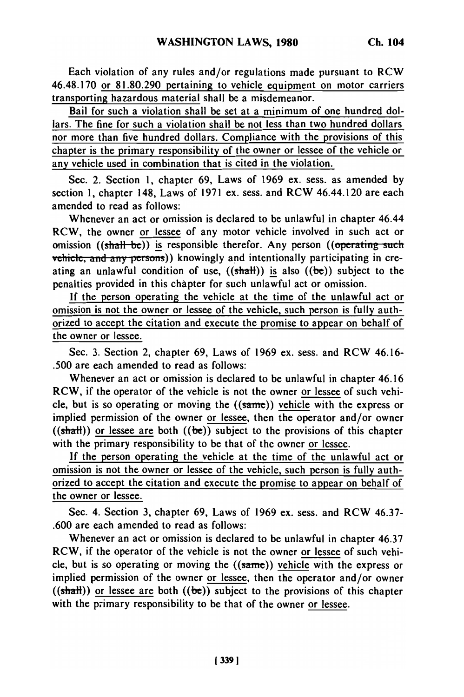Each violation of any rules and/or regulations made pursuant to RCW 46.48.170 or 81.80.290 pertaining to vehicle equipment on motor carriers transporting hazardous material shall be a misdemeanor.

Bail for such a violation shall be set at a minimum of one hundred dollars. The fine for such a violation shall be not less than two hundred dollars nor more than five hundred dollars. Compliance with the provisions of this chapter is the primary responsibility of the owner or lessee of the vehicle or any vehicle used in combination that is cited in the violation.

Sec. 2. Section 1, chapter 69, Laws of 1969 ex. sess. as amended by section 1, chapter 148, Laws of 1971 ex. sess. and RCW 46.44.120 are each amended to read as follows:

Whenever an act or omission is declared to be unlawful in chapter 46.44 RCW, the owner or lessee of any motor vehicle involved in such act or omission  $((shall be))$  is responsible therefor. Any person  $((operating such$ vehicle, **and** any persons)) knowingly and intentionally participating in creating an unlawful condition of use,  $((shath))$  is also  $((be))$  subject to the penalties provided in this chapter for such unlawful act or omission.

If the person operating the vehicle at the time of the unlawful act or omission is not the owner or lessee of the vehicle, such person is fully authorized to accept the citation and execute the promise to appear on behalf of the owner or lessee.

Sec. 3. Section 2, chapter 69, Laws of 1969 ex. sess. and RCW 46.16- .500 are each amended to read as follows:

Whenever an act or omission is declared to be unlawful in chapter 46.16 RCW, if the operator of the vehicle is not the owner or lessee of such vehicle, but is so operating or moving the  $((\text{same}))$  vehicle with the express or implied permission of the owner or lessee, then the operator and/or owner  $((shath))$  or lessee are both  $((be))$  subject to the provisions of this chapter with the primary responsibility to be that of the owner or lessee.

If the person operating the vehicle at the time of the unlawful act or omission is not the owner or lessee of the vehicle, such person is fully authorized to accept the citation and execute the promise to appear on behalf of the owner or lessee.

Sec. 4. Section 3, chapter 69, Laws of 1969 ex. sess. and RCW 46.37- .600 are each amended to read as follows:

Whenever an act or omission is declared to be unlawful in chapter 46.37 RCW, if the operator of the vehicle is not the owner or lessee of such vehicle, but is so operating or moving the  $((same))$  vehicle with the express or implied permission of the owner or lessee, then the operator and/or owner  $((shath))$  or lessee are both  $((be))$  subject to the provisions of this chapter with the primary responsibility to be that of the owner or lessee.